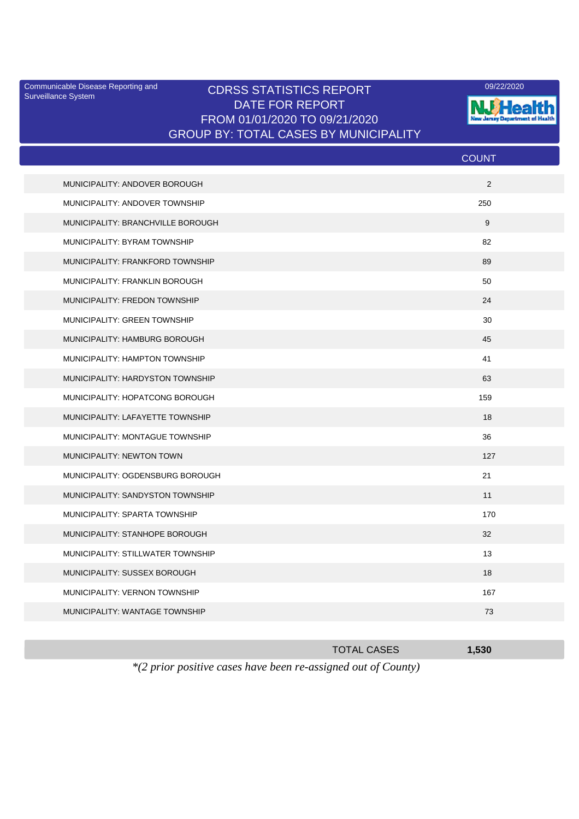Surveillance System

## Communicable Disease Reporting and CDRSS STATISTICS REPORT 09/22/2020<br>Surveillance System CDRSS STATISTICS REPORT DATE FOR REPORT FROM 01/01/2020 TO 09/21/2020 GROUP BY: TOTAL CASES BY MUNICIPALITY



|                                   | <b>COUNT</b> |
|-----------------------------------|--------------|
| MUNICIPALITY: ANDOVER BOROUGH     | 2            |
| MUNICIPALITY: ANDOVER TOWNSHIP    | 250          |
| MUNICIPALITY: BRANCHVILLE BOROUGH | 9            |
| MUNICIPALITY: BYRAM TOWNSHIP      | 82           |
| MUNICIPALITY: FRANKFORD TOWNSHIP  | 89           |
| MUNICIPALITY: FRANKLIN BOROUGH    | 50           |
| MUNICIPALITY: FREDON TOWNSHIP     | 24           |
| MUNICIPALITY: GREEN TOWNSHIP      | 30           |
| MUNICIPALITY: HAMBURG BOROUGH     | 45           |
| MUNICIPALITY: HAMPTON TOWNSHIP    | 41           |
| MUNICIPALITY: HARDYSTON TOWNSHIP  | 63           |
| MUNICIPALITY: HOPATCONG BOROUGH   | 159          |
| MUNICIPALITY: LAFAYETTE TOWNSHIP  | 18           |
| MUNICIPALITY: MONTAGUE TOWNSHIP   | 36           |
| MUNICIPALITY: NEWTON TOWN         | 127          |
| MUNICIPALITY: OGDENSBURG BOROUGH  | 21           |
| MUNICIPALITY: SANDYSTON TOWNSHIP  | 11           |
| MUNICIPALITY: SPARTA TOWNSHIP     | 170          |
| MUNICIPALITY: STANHOPE BOROUGH    | 32           |
| MUNICIPALITY: STILLWATER TOWNSHIP | 13           |
| MUNICIPALITY: SUSSEX BOROUGH      | 18           |
| MUNICIPALITY: VERNON TOWNSHIP     | 167          |
| MUNICIPALITY: WANTAGE TOWNSHIP    | 73           |
|                                   |              |

| <b>TOTAL CASES</b>                                                      | 1.530 |
|-------------------------------------------------------------------------|-------|
| $*(2 \text{ prior positive cases have been re-assigned out of County})$ |       |